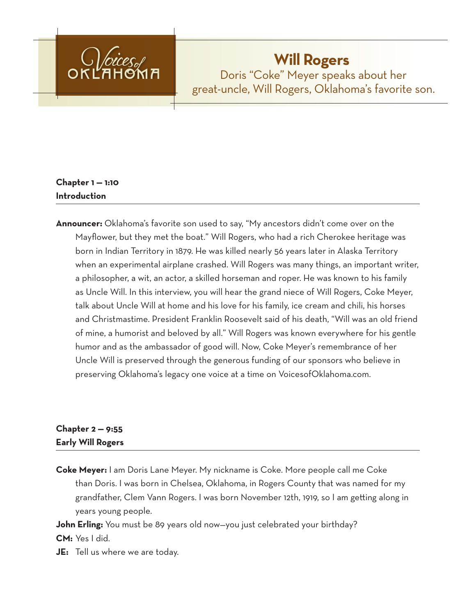

# **Will Rogers**

Doris "Coke" Meyer speaks about her great-uncle, Will Rogers, Oklahoma's favorite son.

# **Chapter 1 — 1:10 Introduction**

**Announcer:** Oklahoma's favorite son used to say, "My ancestors didn't come over on the Mayflower, but they met the boat." Will Rogers, who had a rich Cherokee heritage was born in Indian Territory in 1879. He was killed nearly 56 years later in Alaska Territory when an experimental airplane crashed. Will Rogers was many things, an important writer, a philosopher, a wit, an actor, a skilled horseman and roper. He was known to his family as Uncle Will. In this interview, you will hear the grand niece of Will Rogers, Coke Meyer, talk about Uncle Will at home and his love for his family, ice cream and chili, his horses and Christmastime. President Franklin Roosevelt said of his death, "Will was an old friend of mine, a humorist and beloved by all." Will Rogers was known everywhere for his gentle humor and as the ambassador of good will. Now, Coke Meyer's remembrance of her Uncle Will is preserved through the generous funding of our sponsors who believe in preserving Oklahoma's legacy one voice at a time on VoicesofOklahoma.com.

# **Chapter 2 — 9:55 Early Will Rogers**

**Coke Meyer:** I am Doris Lane Meyer. My nickname is Coke. More people call me Coke than Doris. I was born in Chelsea, Oklahoma, in Rogers County that was named for my grandfather, Clem Vann Rogers. I was born November 12th, 1919, so I am getting along in years young people.

John Erling: You must be 89 years old now-you just celebrated your birthday?

**CM:** Yes I did.

**JE:** Tell us where we are today.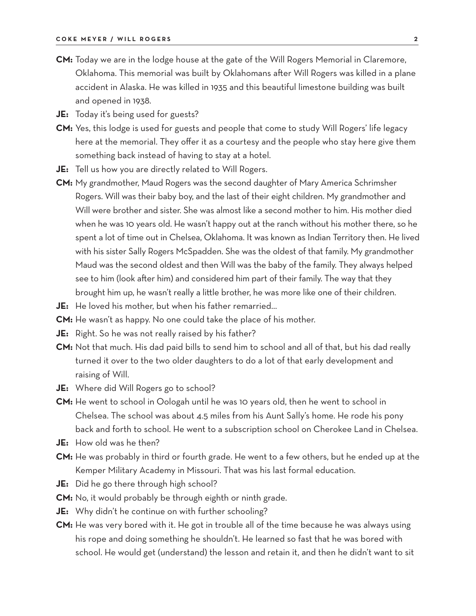- **CM:** Today we are in the lodge house at the gate of the Will Rogers Memorial in Claremore, Oklahoma. This memorial was built by Oklahomans after Will Rogers was killed in a plane accident in Alaska. He was killed in 1935 and this beautiful limestone building was built and opened in 1938.
- **JE:** Today it's being used for guests?
- **CM:** Yes, this lodge is used for guests and people that come to study Will Rogers' life legacy here at the memorial. They offer it as a courtesy and the people who stay here give them something back instead of having to stay at a hotel.
- **JE:** Tell us how you are directly related to Will Rogers.
- **CM:** My grandmother, Maud Rogers was the second daughter of Mary America Schrimsher Rogers. Will was their baby boy, and the last of their eight children. My grandmother and Will were brother and sister. She was almost like a second mother to him. His mother died when he was 10 years old. He wasn't happy out at the ranch without his mother there, so he spent a lot of time out in Chelsea, Oklahoma. It was known as Indian Territory then. He lived with his sister Sally Rogers McSpadden. She was the oldest of that family. My grandmother Maud was the second oldest and then Will was the baby of the family. They always helped see to him (look after him) and considered him part of their family. The way that they brought him up, he wasn't really a little brother, he was more like one of their children.
- **JE:** He loved his mother, but when his father remarried…
- **CM:** He wasn't as happy. No one could take the place of his mother.
- **JE:** Right. So he was not really raised by his father?
- **CM:** Not that much. His dad paid bills to send him to school and all of that, but his dad really turned it over to the two older daughters to do a lot of that early development and raising of Will.
- **JE:** Where did Will Rogers go to school?
- **CM:** He went to school in Oologah until he was 10 years old, then he went to school in Chelsea. The school was about 4.5 miles from his Aunt Sally's home. He rode his pony back and forth to school. He went to a subscription school on Cherokee Land in Chelsea.
- **JE:** How old was he then?
- **CM:** He was probably in third or fourth grade. He went to a few others, but he ended up at the Kemper Military Academy in Missouri. That was his last formal education.
- **JE:** Did he go there through high school?
- **CM:** No, it would probably be through eighth or ninth grade.
- **JE:** Why didn't he continue on with further schooling?
- **CM:** He was very bored with it. He got in trouble all of the time because he was always using his rope and doing something he shouldn't. He learned so fast that he was bored with school. He would get (understand) the lesson and retain it, and then he didn't want to sit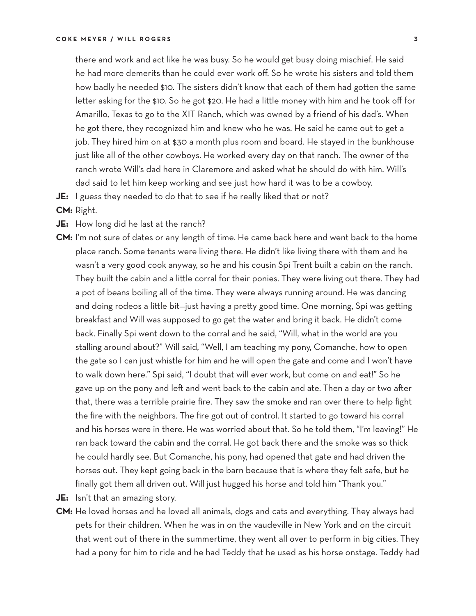there and work and act like he was busy. So he would get busy doing mischief. He said he had more demerits than he could ever work off. So he wrote his sisters and told them how badly he needed \$10. The sisters didn't know that each of them had gotten the same letter asking for the \$10. So he got \$20. He had a little money with him and he took off for Amarillo, Texas to go to the XIT Ranch, which was owned by a friend of his dad's. When he got there, they recognized him and knew who he was. He said he came out to get a job. They hired him on at \$30 a month plus room and board. He stayed in the bunkhouse just like all of the other cowboys. He worked every day on that ranch. The owner of the ranch wrote Will's dad here in Claremore and asked what he should do with him. Will's dad said to let him keep working and see just how hard it was to be a cowboy.

- **JE:** I guess they needed to do that to see if he really liked that or not? **CM:** Right.
- **JE:** How long did he last at the ranch?
- **CM:** I'm not sure of dates or any length of time. He came back here and went back to the home place ranch. Some tenants were living there. He didn't like living there with them and he wasn't a very good cook anyway, so he and his cousin Spi Trent built a cabin on the ranch. They built the cabin and a little corral for their ponies. They were living out there. They had a pot of beans boiling all of the time. They were always running around. He was dancing and doing rodeos a little bit—just having a pretty good time. One morning, Spi was getting breakfast and Will was supposed to go get the water and bring it back. He didn't come back. Finally Spi went down to the corral and he said, "Will, what in the world are you stalling around about?" Will said, "Well, I am teaching my pony, Comanche, how to open the gate so I can just whistle for him and he will open the gate and come and I won't have to walk down here." Spi said, "I doubt that will ever work, but come on and eat!" So he gave up on the pony and left and went back to the cabin and ate. Then a day or two after that, there was a terrible prairie fire. They saw the smoke and ran over there to help fight the fire with the neighbors. The fire got out of control. It started to go toward his corral and his horses were in there. He was worried about that. So he told them, "I'm leaving!" He ran back toward the cabin and the corral. He got back there and the smoke was so thick he could hardly see. But Comanche, his pony, had opened that gate and had driven the horses out. They kept going back in the barn because that is where they felt safe, but he finally got them all driven out. Will just hugged his horse and told him "Thank you."
- **JE:** Isn't that an amazing story.
- **CM:** He loved horses and he loved all animals, dogs and cats and everything. They always had pets for their children. When he was in on the vaudeville in New York and on the circuit that went out of there in the summertime, they went all over to perform in big cities. They had a pony for him to ride and he had Teddy that he used as his horse onstage. Teddy had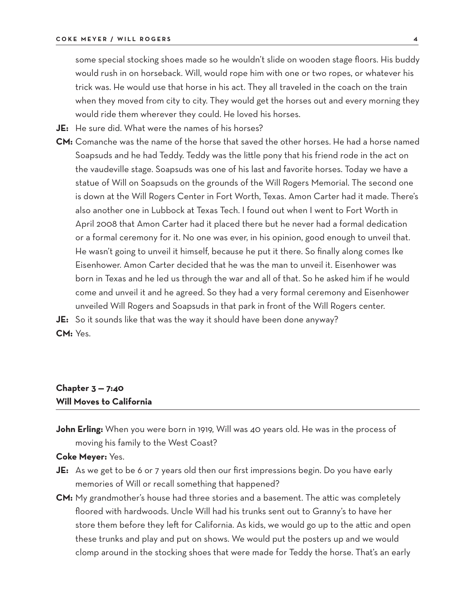some special stocking shoes made so he wouldn't slide on wooden stage floors. His buddy would rush in on horseback. Will, would rope him with one or two ropes, or whatever his trick was. He would use that horse in his act. They all traveled in the coach on the train when they moved from city to city. They would get the horses out and every morning they would ride them wherever they could. He loved his horses.

- **JE:** He sure did. What were the names of his horses?
- **CM:** Comanche was the name of the horse that saved the other horses. He had a horse named Soapsuds and he had Teddy. Teddy was the little pony that his friend rode in the act on the vaudeville stage. Soapsuds was one of his last and favorite horses. Today we have a statue of Will on Soapsuds on the grounds of the Will Rogers Memorial. The second one is down at the Will Rogers Center in Fort Worth, Texas. Amon Carter had it made. There's also another one in Lubbock at Texas Tech. I found out when I went to Fort Worth in April 2008 that Amon Carter had it placed there but he never had a formal dedication or a formal ceremony for it. No one was ever, in his opinion, good enough to unveil that. He wasn't going to unveil it himself, because he put it there. So finally along comes Ike Eisenhower. Amon Carter decided that he was the man to unveil it. Eisenhower was born in Texas and he led us through the war and all of that. So he asked him if he would come and unveil it and he agreed. So they had a very formal ceremony and Eisenhower unveiled Will Rogers and Soapsuds in that park in front of the Will Rogers center.

JE: So it sounds like that was the way it should have been done anyway? **CM:** Yes.

## **Chapter 3 — 7:40 Will Moves to California**

**John Erling:** When you were born in 1919, Will was 40 years old. He was in the process of moving his family to the West Coast?

#### **Coke Meyer:** Yes.

- **JE:** As we get to be 6 or 7 years old then our first impressions begin. Do you have early memories of Will or recall something that happened?
- **CM:** My grandmother's house had three stories and a basement. The attic was completely floored with hardwoods. Uncle Will had his trunks sent out to Granny's to have her store them before they left for California. As kids, we would go up to the attic and open these trunks and play and put on shows. We would put the posters up and we would clomp around in the stocking shoes that were made for Teddy the horse. That's an early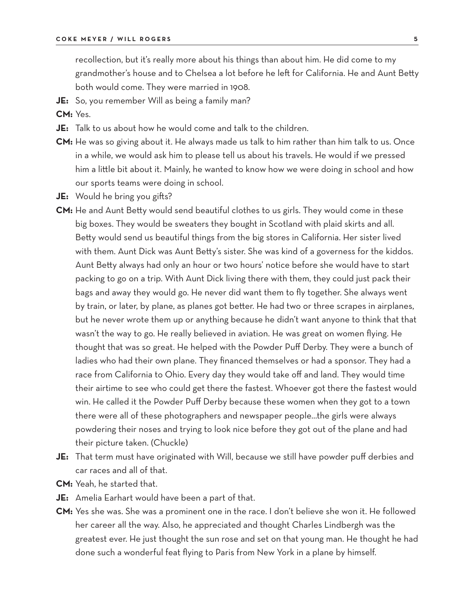recollection, but it's really more about his things than about him. He did come to my grandmother's house and to Chelsea a lot before he left for California. He and Aunt Betty both would come. They were married in 1908.

- **JE:** So, you remember Will as being a family man?
- **CM:** Yes.
- **JE:** Talk to us about how he would come and talk to the children.
- **CM:** He was so giving about it. He always made us talk to him rather than him talk to us. Once in a while, we would ask him to please tell us about his travels. He would if we pressed him a little bit about it. Mainly, he wanted to know how we were doing in school and how our sports teams were doing in school.
- **JE:** Would he bring you gifts?
- **CM:** He and Aunt Betty would send beautiful clothes to us girls. They would come in these big boxes. They would be sweaters they bought in Scotland with plaid skirts and all. Betty would send us beautiful things from the big stores in California. Her sister lived with them. Aunt Dick was Aunt Betty's sister. She was kind of a governess for the kiddos. Aunt Betty always had only an hour or two hours' notice before she would have to start packing to go on a trip. With Aunt Dick living there with them, they could just pack their bags and away they would go. He never did want them to fly together. She always went by train, or later, by plane, as planes got better. He had two or three scrapes in airplanes, but he never wrote them up or anything because he didn't want anyone to think that that wasn't the way to go. He really believed in aviation. He was great on women flying. He thought that was so great. He helped with the Powder Puff Derby. They were a bunch of ladies who had their own plane. They financed themselves or had a sponsor. They had a race from California to Ohio. Every day they would take off and land. They would time their airtime to see who could get there the fastest. Whoever got there the fastest would win. He called it the Powder Puff Derby because these women when they got to a town there were all of these photographers and newspaper people…the girls were always powdering their noses and trying to look nice before they got out of the plane and had their picture taken. (Chuckle)
- **JE:** That term must have originated with Will, because we still have powder puff derbies and car races and all of that.
- **CM:** Yeah, he started that.
- **JE:** Amelia Earhart would have been a part of that.
- **CM:** Yes she was. She was a prominent one in the race. I don't believe she won it. He followed her career all the way. Also, he appreciated and thought Charles Lindbergh was the greatest ever. He just thought the sun rose and set on that young man. He thought he had done such a wonderful feat flying to Paris from New York in a plane by himself.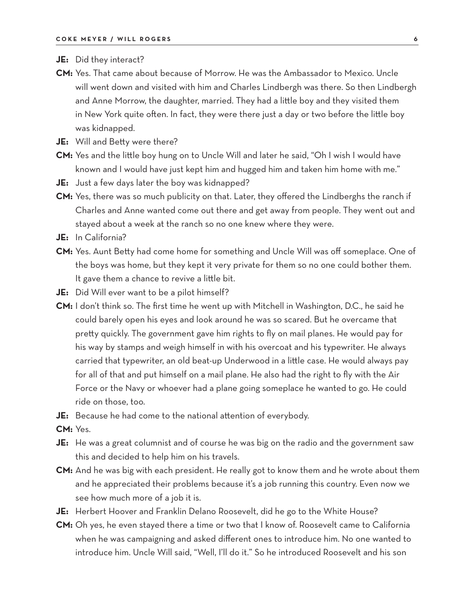- **JE:** Did they interact?
- **CM:** Yes. That came about because of Morrow. He was the Ambassador to Mexico. Uncle will went down and visited with him and Charles Lindbergh was there. So then Lindbergh and Anne Morrow, the daughter, married. They had a little boy and they visited them in New York quite often. In fact, they were there just a day or two before the little boy was kidnapped.
- **JE:** Will and Betty were there?
- **CM:** Yes and the little boy hung on to Uncle Will and later he said, "Oh I wish I would have known and I would have just kept him and hugged him and taken him home with me."
- **JE:** Just a few days later the boy was kidnapped?
- **CM:** Yes, there was so much publicity on that. Later, they offered the Lindberghs the ranch if Charles and Anne wanted come out there and get away from people. They went out and stayed about a week at the ranch so no one knew where they were.
- **JE:** In California?
- **CM:** Yes. Aunt Betty had come home for something and Uncle Will was off someplace. One of the boys was home, but they kept it very private for them so no one could bother them. It gave them a chance to revive a little bit.
- **JE:** Did Will ever want to be a pilot himself?
- **CM:** I don't think so. The first time he went up with Mitchell in Washington, D.C., he said he could barely open his eyes and look around he was so scared. But he overcame that pretty quickly. The government gave him rights to fly on mail planes. He would pay for his way by stamps and weigh himself in with his overcoat and his typewriter. He always carried that typewriter, an old beat-up Underwood in a little case. He would always pay for all of that and put himself on a mail plane. He also had the right to fly with the Air Force or the Navy or whoever had a plane going someplace he wanted to go. He could ride on those, too.
- **JE:** Because he had come to the national attention of everybody.
- **CM:** Yes.
- **JE:** He was a great columnist and of course he was big on the radio and the government saw this and decided to help him on his travels.
- **CM:** And he was big with each president. He really got to know them and he wrote about them and he appreciated their problems because it's a job running this country. Even now we see how much more of a job it is.
- **JE:** Herbert Hoover and Franklin Delano Roosevelt, did he go to the White House?
- **CM:** Oh yes, he even stayed there a time or two that I know of. Roosevelt came to California when he was campaigning and asked different ones to introduce him. No one wanted to introduce him. Uncle Will said, "Well, I'll do it." So he introduced Roosevelt and his son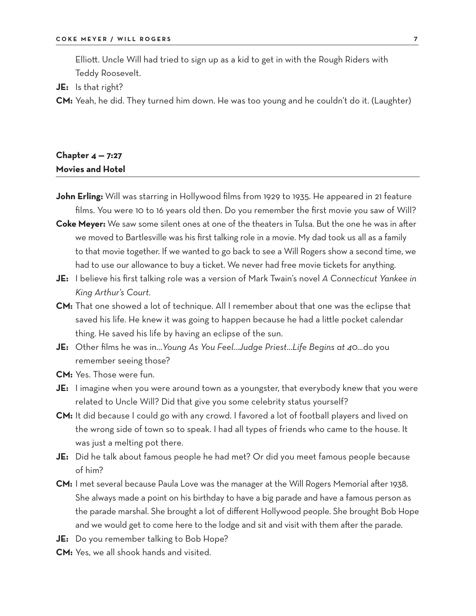Elliott. Uncle Will had tried to sign up as a kid to get in with the Rough Riders with Teddy Roosevelt.

- **JE:** Is that right?
- **CM:** Yeah, he did. They turned him down. He was too young and he couldn't do it. (Laughter)

## **Chapter 4 — 7:27 Movies and Hotel**

- **John Erling:** Will was starring in Hollywood films from 1929 to 1935. He appeared in 21 feature films. You were 10 to 16 years old then. Do you remember the first movie you saw of Will?
- **Coke Meyer:** We saw some silent ones at one of the theaters in Tulsa. But the one he was in after we moved to Bartlesville was his first talking role in a movie. My dad took us all as a family to that movie together. If we wanted to go back to see a Will Rogers show a second time, we had to use our allowance to buy a ticket. We never had free movie tickets for anything.
- **JE:** I believe his first talking role was a version of Mark Twain's novel *A Connecticut Yankee in King Arthur's Court.*
- **CM:** That one showed a lot of technique. All I remember about that one was the eclipse that saved his life. He knew it was going to happen because he had a little pocket calendar thing. He saved his life by having an eclipse of the sun.
- **JE:** Other films he was in…*Young As You Feel*...*Judge Priest*…*Life Begins at 40…*do you remember seeing those?
- **CM:** Yes. Those were fun.
- **JE:** I imagine when you were around town as a youngster, that everybody knew that you were related to Uncle Will? Did that give you some celebrity status yourself?
- **CM:** It did because I could go with any crowd. I favored a lot of football players and lived on the wrong side of town so to speak. I had all types of friends who came to the house. It was just a melting pot there.
- **JE:** Did he talk about famous people he had met? Or did you meet famous people because of him?
- **CM:** I met several because Paula Love was the manager at the Will Rogers Memorial after 1938. She always made a point on his birthday to have a big parade and have a famous person as the parade marshal. She brought a lot of different Hollywood people. She brought Bob Hope and we would get to come here to the lodge and sit and visit with them after the parade.
- **JE:** Do you remember talking to Bob Hope?
- **CM:** Yes, we all shook hands and visited.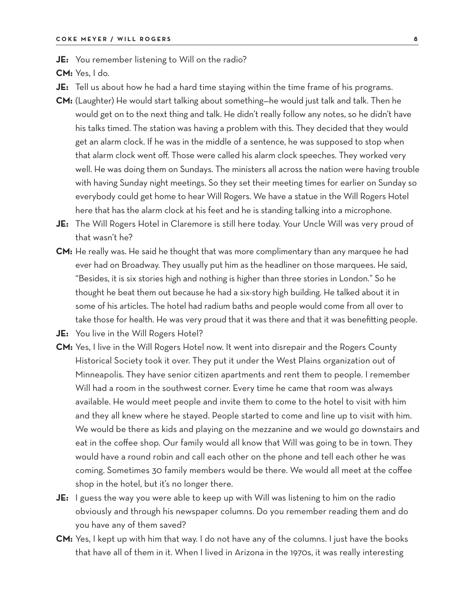**JE:** You remember listening to Will on the radio? **CM:** Yes, I do.

- **JE:** Tell us about how he had a hard time staying within the time frame of his programs.
- **CM:** (Laughter) He would start talking about something—he would just talk and talk. Then he would get on to the next thing and talk. He didn't really follow any notes, so he didn't have his talks timed. The station was having a problem with this. They decided that they would get an alarm clock. If he was in the middle of a sentence, he was supposed to stop when that alarm clock went off. Those were called his alarm clock speeches. They worked very well. He was doing them on Sundays. The ministers all across the nation were having trouble with having Sunday night meetings. So they set their meeting times for earlier on Sunday so everybody could get home to hear Will Rogers. We have a statue in the Will Rogers Hotel here that has the alarm clock at his feet and he is standing talking into a microphone.
- **JE:** The Will Rogers Hotel in Claremore is still here today. Your Uncle Will was very proud of that wasn't he?
- **CM:** He really was. He said he thought that was more complimentary than any marquee he had ever had on Broadway. They usually put him as the headliner on those marquees. He said, "Besides, it is six stories high and nothing is higher than three stories in London." So he thought he beat them out because he had a six-story high building. He talked about it in some of his articles. The hotel had radium baths and people would come from all over to take those for health. He was very proud that it was there and that it was benefitting people.
- **JE:** You live in the Will Rogers Hotel?
- **CM:** Yes, I live in the Will Rogers Hotel now. It went into disrepair and the Rogers County Historical Society took it over. They put it under the West Plains organization out of Minneapolis. They have senior citizen apartments and rent them to people. I remember Will had a room in the southwest corner. Every time he came that room was always available. He would meet people and invite them to come to the hotel to visit with him and they all knew where he stayed. People started to come and line up to visit with him. We would be there as kids and playing on the mezzanine and we would go downstairs and eat in the coffee shop. Our family would all know that Will was going to be in town. They would have a round robin and call each other on the phone and tell each other he was coming. Sometimes 30 family members would be there. We would all meet at the coffee shop in the hotel, but it's no longer there.
- **JE:** I guess the way you were able to keep up with Will was listening to him on the radio obviously and through his newspaper columns. Do you remember reading them and do you have any of them saved?
- **CM:** Yes, I kept up with him that way. I do not have any of the columns. I just have the books that have all of them in it. When I lived in Arizona in the 1970s, it was really interesting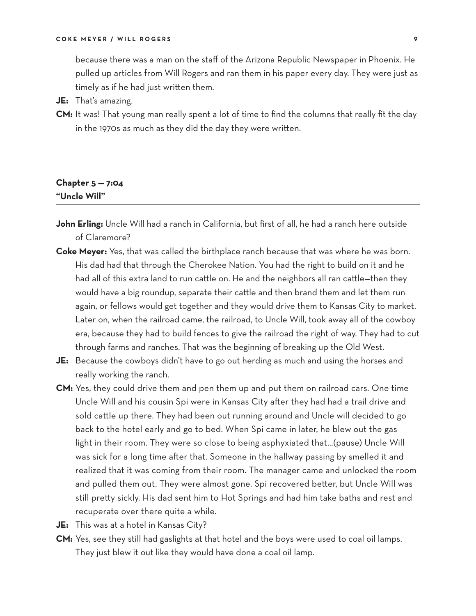because there was a man on the staff of the Arizona Republic Newspaper in Phoenix. He pulled up articles from Will Rogers and ran them in his paper every day. They were just as timely as if he had just written them.

- **JE:** That's amazing.
- **CM:** It was! That young man really spent a lot of time to find the columns that really fit the day in the 1970s as much as they did the day they were written.

#### **Chapter 5 — 7:04 "Uncle Will"**

- **John Erling:** Uncle Will had a ranch in California, but first of all, he had a ranch here outside of Claremore?
- **Coke Meyer:** Yes, that was called the birthplace ranch because that was where he was born. His dad had that through the Cherokee Nation. You had the right to build on it and he had all of this extra land to run cattle on. He and the neighbors all ran cattle—then they would have a big roundup, separate their cattle and then brand them and let them run again, or fellows would get together and they would drive them to Kansas City to market. Later on, when the railroad came, the railroad, to Uncle Will, took away all of the cowboy era, because they had to build fences to give the railroad the right of way. They had to cut through farms and ranches. That was the beginning of breaking up the Old West.
- **JE:** Because the cowboys didn't have to go out herding as much and using the horses and really working the ranch.
- **CM:** Yes, they could drive them and pen them up and put them on railroad cars. One time Uncle Will and his cousin Spi were in Kansas City after they had had a trail drive and sold cattle up there. They had been out running around and Uncle will decided to go back to the hotel early and go to bed. When Spi came in later, he blew out the gas light in their room. They were so close to being asphyxiated that...(pause) Uncle Will was sick for a long time after that. Someone in the hallway passing by smelled it and realized that it was coming from their room. The manager came and unlocked the room and pulled them out. They were almost gone. Spi recovered better, but Uncle Will was still pretty sickly. His dad sent him to Hot Springs and had him take baths and rest and recuperate over there quite a while.
- **JE:** This was at a hotel in Kansas City?
- **CM:** Yes, see they still had gaslights at that hotel and the boys were used to coal oil lamps. They just blew it out like they would have done a coal oil lamp.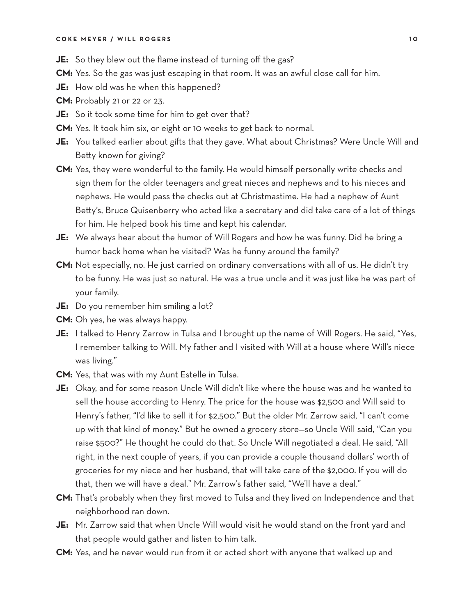- **JE:** So they blew out the flame instead of turning off the gas?
- **CM:** Yes. So the gas was just escaping in that room. It was an awful close call for him.
- **JE:** How old was he when this happened?
- **CM:** Probably 21 or 22 or 23.
- **JE:** So it took some time for him to get over that?
- **CM:** Yes. It took him six, or eight or 10 weeks to get back to normal.
- **JE:** You talked earlier about gifts that they gave. What about Christmas? Were Uncle Will and Betty known for giving?
- **CM:** Yes, they were wonderful to the family. He would himself personally write checks and sign them for the older teenagers and great nieces and nephews and to his nieces and nephews. He would pass the checks out at Christmastime. He had a nephew of Aunt Betty's, Bruce Quisenberry who acted like a secretary and did take care of a lot of things for him. He helped book his time and kept his calendar.
- **JE:** We always hear about the humor of Will Rogers and how he was funny. Did he bring a humor back home when he visited? Was he funny around the family?
- **CM:** Not especially, no. He just carried on ordinary conversations with all of us. He didn't try to be funny. He was just so natural. He was a true uncle and it was just like he was part of your family.
- **JE:** Do you remember him smiling a lot?
- **CM:** Oh yes, he was always happy.
- **JE:** I talked to Henry Zarrow in Tulsa and I brought up the name of Will Rogers. He said, "Yes, I remember talking to Will. My father and I visited with Will at a house where Will's niece was living."
- **CM:** Yes, that was with my Aunt Estelle in Tulsa.
- **JE:** Okay, and for some reason Uncle Will didn't like where the house was and he wanted to sell the house according to Henry. The price for the house was \$2,500 and Will said to Henry's father, "I'd like to sell it for \$2,500." But the older Mr. Zarrow said, "I can't come up with that kind of money." But he owned a grocery store—so Uncle Will said, "Can you raise \$500?" He thought he could do that. So Uncle Will negotiated a deal. He said, "All right, in the next couple of years, if you can provide a couple thousand dollars' worth of groceries for my niece and her husband, that will take care of the \$2,000. If you will do that, then we will have a deal." Mr. Zarrow's father said, "We'll have a deal."
- **CM:** That's probably when they first moved to Tulsa and they lived on Independence and that neighborhood ran down.
- **JE:** Mr. Zarrow said that when Uncle Will would visit he would stand on the front yard and that people would gather and listen to him talk.
- **CM:** Yes, and he never would run from it or acted short with anyone that walked up and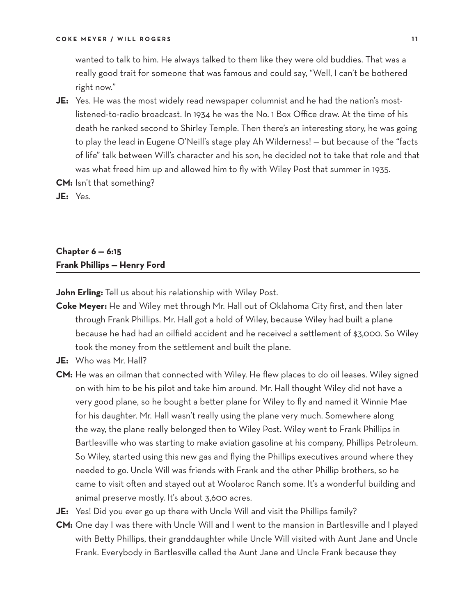wanted to talk to him. He always talked to them like they were old buddies. That was a really good trait for someone that was famous and could say, "Well, I can't be bothered right now."

- **JE:** Yes. He was the most widely read newspaper columnist and he had the nation's mostlistened-to-radio broadcast. In 1934 he was the No. 1 Box Office draw. At the time of his death he ranked second to Shirley Temple. Then there's an interesting story, he was going to play the lead in Eugene O'Neill's stage play Ah Wilderness! — but because of the "facts of life" talk between Will's character and his son, he decided not to take that role and that was what freed him up and allowed him to fly with Wiley Post that summer in 1935.
- **CM:** Isn't that something?

**JE:** Yes.

### **Chapter 6 — 6:15 Frank Phillips — Henry Ford**

**John Erling:** Tell us about his relationship with Wiley Post.

- **Coke Meyer:** He and Wiley met through Mr. Hall out of Oklahoma City first, and then later through Frank Phillips. Mr. Hall got a hold of Wiley, because Wiley had built a plane because he had had an oilfield accident and he received a settlement of \$3,000. So Wiley took the money from the settlement and built the plane.
- **JE:** Who was Mr. Hall?
- **CM:** He was an oilman that connected with Wiley. He flew places to do oil leases. Wiley signed on with him to be his pilot and take him around. Mr. Hall thought Wiley did not have a very good plane, so he bought a better plane for Wiley to fly and named it Winnie Mae for his daughter. Mr. Hall wasn't really using the plane very much. Somewhere along the way, the plane really belonged then to Wiley Post. Wiley went to Frank Phillips in Bartlesville who was starting to make aviation gasoline at his company, Phillips Petroleum. So Wiley, started using this new gas and flying the Phillips executives around where they needed to go. Uncle Will was friends with Frank and the other Phillip brothers, so he came to visit often and stayed out at Woolaroc Ranch some. It's a wonderful building and animal preserve mostly. It's about 3,600 acres.
- **JE:** Yes! Did you ever go up there with Uncle Will and visit the Phillips family?
- **CM:** One day I was there with Uncle Will and I went to the mansion in Bartlesville and I played with Betty Phillips, their granddaughter while Uncle Will visited with Aunt Jane and Uncle Frank. Everybody in Bartlesville called the Aunt Jane and Uncle Frank because they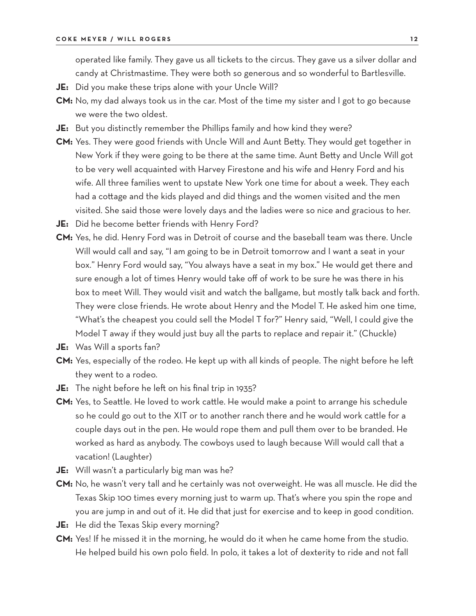operated like family. They gave us all tickets to the circus. They gave us a silver dollar and candy at Christmastime. They were both so generous and so wonderful to Bartlesville.

- **JE:** Did you make these trips alone with your Uncle Will?
- **CM:** No, my dad always took us in the car. Most of the time my sister and I got to go because we were the two oldest.
- **JE:** But you distinctly remember the Phillips family and how kind they were?
- **CM:** Yes. They were good friends with Uncle Will and Aunt Betty. They would get together in New York if they were going to be there at the same time. Aunt Betty and Uncle Will got to be very well acquainted with Harvey Firestone and his wife and Henry Ford and his wife. All three families went to upstate New York one time for about a week. They each had a cottage and the kids played and did things and the women visited and the men visited. She said those were lovely days and the ladies were so nice and gracious to her.
- **JE:** Did he become better friends with Henry Ford?
- **CM:** Yes, he did. Henry Ford was in Detroit of course and the baseball team was there. Uncle Will would call and say, "I am going to be in Detroit tomorrow and I want a seat in your box." Henry Ford would say, "You always have a seat in my box." He would get there and sure enough a lot of times Henry would take off of work to be sure he was there in his box to meet Will. They would visit and watch the ballgame, but mostly talk back and forth. They were close friends. He wrote about Henry and the Model T. He asked him one time, "What's the cheapest you could sell the Model T for?" Henry said, "Well, I could give the Model T away if they would just buy all the parts to replace and repair it." (Chuckle)
- **JE:** Was Will a sports fan?
- **CM:** Yes, especially of the rodeo. He kept up with all kinds of people. The night before he left they went to a rodeo.
- **JE:** The night before he left on his final trip in 1935?
- **CM:** Yes, to Seattle. He loved to work cattle. He would make a point to arrange his schedule so he could go out to the XIT or to another ranch there and he would work cattle for a couple days out in the pen. He would rope them and pull them over to be branded. He worked as hard as anybody. The cowboys used to laugh because Will would call that a vacation! (Laughter)
- **JE:** Will wasn't a particularly big man was he?
- **CM:** No, he wasn't very tall and he certainly was not overweight. He was all muscle. He did the Texas Skip 100 times every morning just to warm up. That's where you spin the rope and you are jump in and out of it. He did that just for exercise and to keep in good condition.
- **JE:** He did the Texas Skip every morning?
- **CM:** Yes! If he missed it in the morning, he would do it when he came home from the studio. He helped build his own polo field. In polo, it takes a lot of dexterity to ride and not fall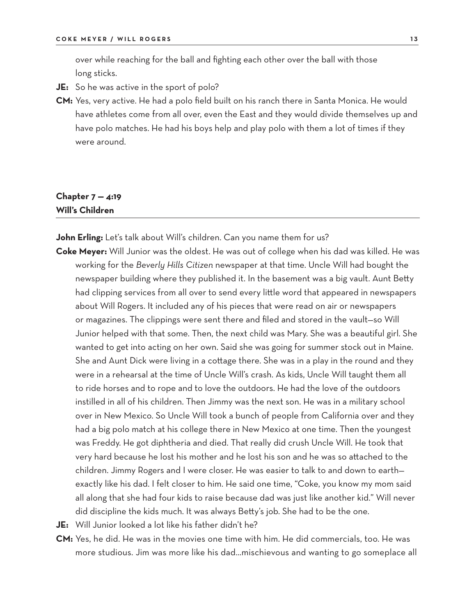over while reaching for the ball and fighting each other over the ball with those long sticks.

- **JE:** So he was active in the sport of polo?
- **CM:** Yes, very active. He had a polo field built on his ranch there in Santa Monica. He would have athletes come from all over, even the East and they would divide themselves up and have polo matches. He had his boys help and play polo with them a lot of times if they were around.

# **Chapter 7 — 4:19 Will's Children**

**John Erling:** Let's talk about Will's children. Can you name them for us?

- **Coke Meyer:** Will Junior was the oldest. He was out of college when his dad was killed. He was working for the *Beverly Hills Citizen* newspaper at that time. Uncle Will had bought the newspaper building where they published it. In the basement was a big vault. Aunt Betty had clipping services from all over to send every little word that appeared in newspapers about Will Rogers. It included any of his pieces that were read on air or newspapers or magazines. The clippings were sent there and filed and stored in the vault—so Will Junior helped with that some. Then, the next child was Mary. She was a beautiful girl. She wanted to get into acting on her own. Said she was going for summer stock out in Maine. She and Aunt Dick were living in a cottage there. She was in a play in the round and they were in a rehearsal at the time of Uncle Will's crash. As kids, Uncle Will taught them all to ride horses and to rope and to love the outdoors. He had the love of the outdoors instilled in all of his children. Then Jimmy was the next son. He was in a military school over in New Mexico. So Uncle Will took a bunch of people from California over and they had a big polo match at his college there in New Mexico at one time. Then the youngest was Freddy. He got diphtheria and died. That really did crush Uncle Will. He took that very hard because he lost his mother and he lost his son and he was so attached to the children. Jimmy Rogers and I were closer. He was easier to talk to and down to earth exactly like his dad. I felt closer to him. He said one time, "Coke, you know my mom said all along that she had four kids to raise because dad was just like another kid." Will never did discipline the kids much. It was always Betty's job. She had to be the one.
- **JE:** Will Junior looked a lot like his father didn't he?
- **CM:** Yes, he did. He was in the movies one time with him. He did commercials, too. He was more studious. Jim was more like his dad…mischievous and wanting to go someplace all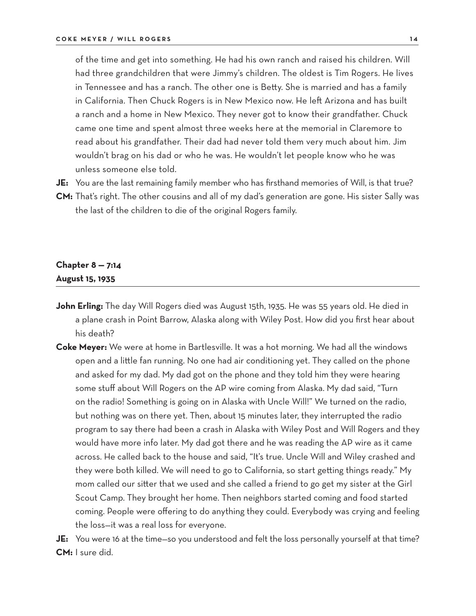of the time and get into something. He had his own ranch and raised his children. Will had three grandchildren that were Jimmy's children. The oldest is Tim Rogers. He lives in Tennessee and has a ranch. The other one is Betty. She is married and has a family in California. Then Chuck Rogers is in New Mexico now. He left Arizona and has built a ranch and a home in New Mexico. They never got to know their grandfather. Chuck came one time and spent almost three weeks here at the memorial in Claremore to read about his grandfather. Their dad had never told them very much about him. Jim wouldn't brag on his dad or who he was. He wouldn't let people know who he was unless someone else told.

- **JE:** You are the last remaining family member who has firsthand memories of Will, is that true?
- **CM:** That's right. The other cousins and all of my dad's generation are gone. His sister Sally was the last of the children to die of the original Rogers family.

# **Chapter 8 — 7:14 August 15, 1935**

- **John Erling:** The day Will Rogers died was August 15th, 1935. He was 55 years old. He died in a plane crash in Point Barrow, Alaska along with Wiley Post. How did you first hear about his death?
- **Coke Meyer:** We were at home in Bartlesville. It was a hot morning. We had all the windows open and a little fan running. No one had air conditioning yet. They called on the phone and asked for my dad. My dad got on the phone and they told him they were hearing some stuff about Will Rogers on the AP wire coming from Alaska. My dad said, "Turn on the radio! Something is going on in Alaska with Uncle Will!" We turned on the radio, but nothing was on there yet. Then, about 15 minutes later, they interrupted the radio program to say there had been a crash in Alaska with Wiley Post and Will Rogers and they would have more info later. My dad got there and he was reading the AP wire as it came across. He called back to the house and said, "It's true. Uncle Will and Wiley crashed and they were both killed. We will need to go to California, so start getting things ready." My mom called our sitter that we used and she called a friend to go get my sister at the Girl Scout Camp. They brought her home. Then neighbors started coming and food started coming. People were offering to do anything they could. Everybody was crying and feeling the loss—it was a real loss for everyone.

**JE:** You were 16 at the time-so you understood and felt the loss personally yourself at that time? **CM:** I sure did.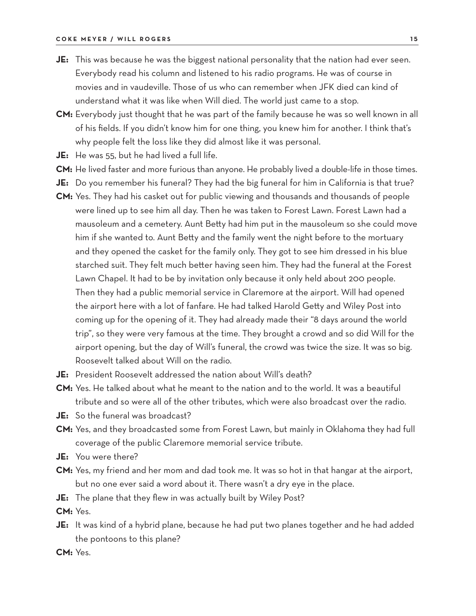- **JE:** This was because he was the biggest national personality that the nation had ever seen. Everybody read his column and listened to his radio programs. He was of course in movies and in vaudeville. Those of us who can remember when JFK died can kind of understand what it was like when Will died. The world just came to a stop.
- **CM:** Everybody just thought that he was part of the family because he was so well known in all of his fields. If you didn't know him for one thing, you knew him for another. I think that's why people felt the loss like they did almost like it was personal.
- **JE:** He was 55, but he had lived a full life.
- **CM:** He lived faster and more furious than anyone. He probably lived a double-life in those times.
- **JE:** Do you remember his funeral? They had the big funeral for him in California is that true?
- **CM:** Yes. They had his casket out for public viewing and thousands and thousands of people were lined up to see him all day. Then he was taken to Forest Lawn. Forest Lawn had a mausoleum and a cemetery. Aunt Betty had him put in the mausoleum so she could move him if she wanted to. Aunt Betty and the family went the night before to the mortuary and they opened the casket for the family only. They got to see him dressed in his blue starched suit. They felt much better having seen him. They had the funeral at the Forest Lawn Chapel. It had to be by invitation only because it only held about 200 people. Then they had a public memorial service in Claremore at the airport. Will had opened the airport here with a lot of fanfare. He had talked Harold Getty and Wiley Post into coming up for the opening of it. They had already made their "8 days around the world trip", so they were very famous at the time. They brought a crowd and so did Will for the airport opening, but the day of Will's funeral, the crowd was twice the size. It was so big. Roosevelt talked about Will on the radio.
- **JE:** President Roosevelt addressed the nation about Will's death?
- **CM:** Yes. He talked about what he meant to the nation and to the world. It was a beautiful tribute and so were all of the other tributes, which were also broadcast over the radio.
- **JE:** So the funeral was broadcast?
- **CM:** Yes, and they broadcasted some from Forest Lawn, but mainly in Oklahoma they had full coverage of the public Claremore memorial service tribute.
- **JE:** You were there?
- **CM:** Yes, my friend and her mom and dad took me. It was so hot in that hangar at the airport, but no one ever said a word about it. There wasn't a dry eye in the place.
- **JE:** The plane that they flew in was actually built by Wiley Post?

**CM:** Yes.

**JE:** It was kind of a hybrid plane, because he had put two planes together and he had added the pontoons to this plane?

**CM:** Yes.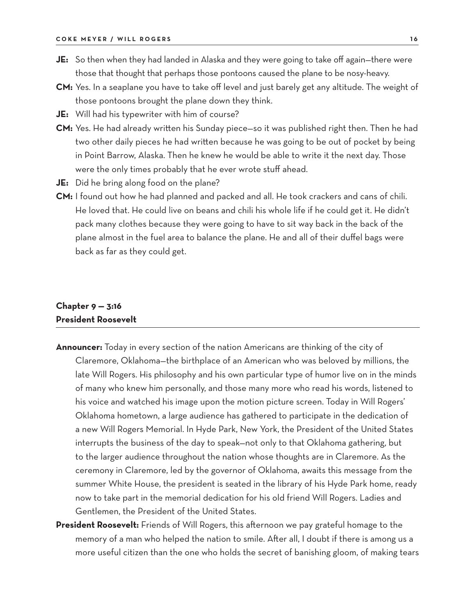- **JE:** So then when they had landed in Alaska and they were going to take off again—there were those that thought that perhaps those pontoons caused the plane to be nosy-heavy.
- **CM:** Yes. In a seaplane you have to take off level and just barely get any altitude. The weight of those pontoons brought the plane down they think.
- **JE:** Will had his typewriter with him of course?
- **CM:** Yes. He had already written his Sunday piece—so it was published right then. Then he had two other daily pieces he had written because he was going to be out of pocket by being in Point Barrow, Alaska. Then he knew he would be able to write it the next day. Those were the only times probably that he ever wrote stuff ahead.
- **JE:** Did he bring along food on the plane?
- **CM:** I found out how he had planned and packed and all. He took crackers and cans of chili. He loved that. He could live on beans and chili his whole life if he could get it. He didn't pack many clothes because they were going to have to sit way back in the back of the plane almost in the fuel area to balance the plane. He and all of their duffel bags were back as far as they could get.

#### **Chapter 9 — 3:16 President Roosevelt**

- **Announcer:** Today in every section of the nation Americans are thinking of the city of Claremore, Oklahoma—the birthplace of an American who was beloved by millions, the late Will Rogers. His philosophy and his own particular type of humor live on in the minds of many who knew him personally, and those many more who read his words, listened to his voice and watched his image upon the motion picture screen. Today in Will Rogers' Oklahoma hometown, a large audience has gathered to participate in the dedication of a new Will Rogers Memorial. In Hyde Park, New York, the President of the United States interrupts the business of the day to speak—not only to that Oklahoma gathering, but to the larger audience throughout the nation whose thoughts are in Claremore. As the ceremony in Claremore, led by the governor of Oklahoma, awaits this message from the summer White House, the president is seated in the library of his Hyde Park home, ready now to take part in the memorial dedication for his old friend Will Rogers. Ladies and Gentlemen, the President of the United States.
- **President Roosevelt:** Friends of Will Rogers, this afternoon we pay grateful homage to the memory of a man who helped the nation to smile. After all, I doubt if there is among us a more useful citizen than the one who holds the secret of banishing gloom, of making tears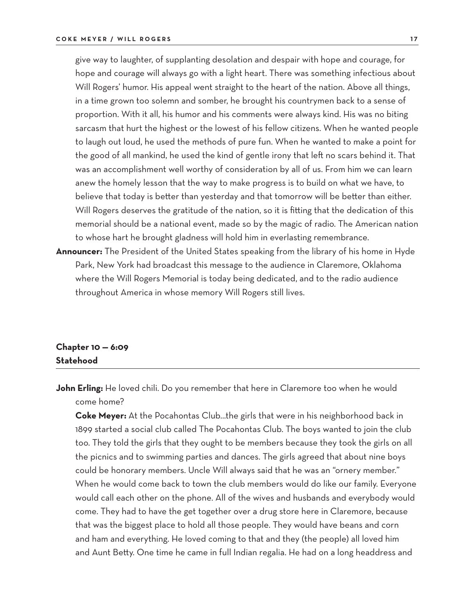give way to laughter, of supplanting desolation and despair with hope and courage, for hope and courage will always go with a light heart. There was something infectious about Will Rogers' humor. His appeal went straight to the heart of the nation. Above all things, in a time grown too solemn and somber, he brought his countrymen back to a sense of proportion. With it all, his humor and his comments were always kind. His was no biting sarcasm that hurt the highest or the lowest of his fellow citizens. When he wanted people to laugh out loud, he used the methods of pure fun. When he wanted to make a point for the good of all mankind, he used the kind of gentle irony that left no scars behind it. That was an accomplishment well worthy of consideration by all of us. From him we can learn anew the homely lesson that the way to make progress is to build on what we have, to believe that today is better than yesterday and that tomorrow will be better than either. Will Rogers deserves the gratitude of the nation, so it is fitting that the dedication of this memorial should be a national event, made so by the magic of radio. The American nation to whose hart he brought gladness will hold him in everlasting remembrance.

**Announcer:** The President of the United States speaking from the library of his home in Hyde Park, New York had broadcast this message to the audience in Claremore, Oklahoma where the Will Rogers Memorial is today being dedicated, and to the radio audience throughout America in whose memory Will Rogers still lives.

#### **Chapter 10 — 6:09 Statehood**

**John Erling:** He loved chili. Do you remember that here in Claremore too when he would come home?

**Coke Meyer:** At the Pocahontas Club...the girls that were in his neighborhood back in 1899 started a social club called The Pocahontas Club. The boys wanted to join the club too. They told the girls that they ought to be members because they took the girls on all the picnics and to swimming parties and dances. The girls agreed that about nine boys could be honorary members. Uncle Will always said that he was an "ornery member." When he would come back to town the club members would do like our family. Everyone would call each other on the phone. All of the wives and husbands and everybody would come. They had to have the get together over a drug store here in Claremore, because that was the biggest place to hold all those people. They would have beans and corn and ham and everything. He loved coming to that and they (the people) all loved him and Aunt Betty. One time he came in full Indian regalia. He had on a long headdress and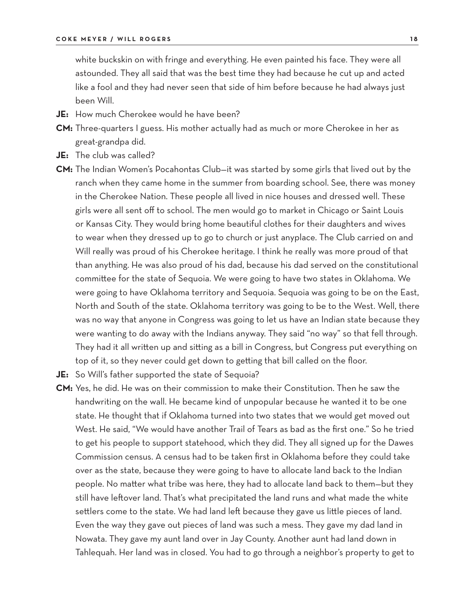white buckskin on with fringe and everything. He even painted his face. They were all astounded. They all said that was the best time they had because he cut up and acted like a fool and they had never seen that side of him before because he had always just been Will.

- **JE:** How much Cherokee would he have been?
- **CM:** Three-quarters I guess. His mother actually had as much or more Cherokee in her as great-grandpa did.
- **JE:** The club was called?
- **CM:** The Indian Women's Pocahontas Club—it was started by some girls that lived out by the ranch when they came home in the summer from boarding school. See, there was money in the Cherokee Nation. These people all lived in nice houses and dressed well. These girls were all sent off to school. The men would go to market in Chicago or Saint Louis or Kansas City. They would bring home beautiful clothes for their daughters and wives to wear when they dressed up to go to church or just anyplace. The Club carried on and Will really was proud of his Cherokee heritage. I think he really was more proud of that than anything. He was also proud of his dad, because his dad served on the constitutional committee for the state of Sequoia. We were going to have two states in Oklahoma. We were going to have Oklahoma territory and Sequoia. Sequoia was going to be on the East, North and South of the state. Oklahoma territory was going to be to the West. Well, there was no way that anyone in Congress was going to let us have an Indian state because they were wanting to do away with the Indians anyway. They said "no way" so that fell through. They had it all written up and sitting as a bill in Congress, but Congress put everything on top of it, so they never could get down to getting that bill called on the floor.
- **JE:** So Will's father supported the state of Sequoia?
- **CM:** Yes, he did. He was on their commission to make their Constitution. Then he saw the handwriting on the wall. He became kind of unpopular because he wanted it to be one state. He thought that if Oklahoma turned into two states that we would get moved out West. He said, "We would have another Trail of Tears as bad as the first one." So he tried to get his people to support statehood, which they did. They all signed up for the Dawes Commission census. A census had to be taken first in Oklahoma before they could take over as the state, because they were going to have to allocate land back to the Indian people. No matter what tribe was here, they had to allocate land back to them—but they still have leftover land. That's what precipitated the land runs and what made the white settlers come to the state. We had land left because they gave us little pieces of land. Even the way they gave out pieces of land was such a mess. They gave my dad land in Nowata. They gave my aunt land over in Jay County. Another aunt had land down in Tahlequah. Her land was in closed. You had to go through a neighbor's property to get to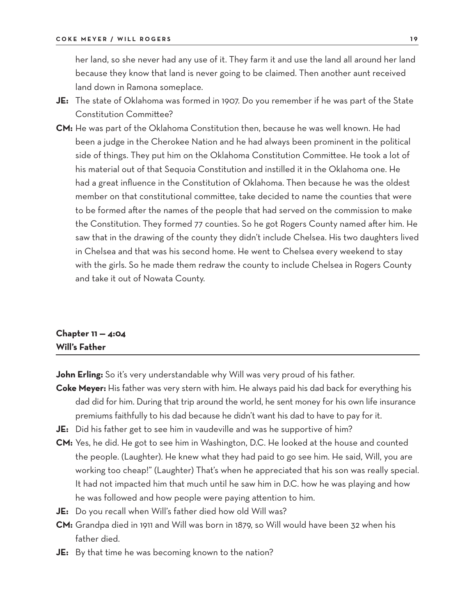her land, so she never had any use of it. They farm it and use the land all around her land because they know that land is never going to be claimed. Then another aunt received land down in Ramona someplace.

- **JE:** The state of Oklahoma was formed in 1907. Do you remember if he was part of the State Constitution Committee?
- **CM:** He was part of the Oklahoma Constitution then, because he was well known. He had been a judge in the Cherokee Nation and he had always been prominent in the political side of things. They put him on the Oklahoma Constitution Committee. He took a lot of his material out of that Sequoia Constitution and instilled it in the Oklahoma one. He had a great influence in the Constitution of Oklahoma. Then because he was the oldest member on that constitutional committee, take decided to name the counties that were to be formed after the names of the people that had served on the commission to make the Constitution. They formed 77 counties. So he got Rogers County named after him. He saw that in the drawing of the county they didn't include Chelsea. His two daughters lived in Chelsea and that was his second home. He went to Chelsea every weekend to stay with the girls. So he made them redraw the county to include Chelsea in Rogers County and take it out of Nowata County.

#### **Chapter 11 — 4:04 Will's Father**

John Erling: So it's very understandable why Will was very proud of his father.

- **Coke Meyer:** His father was very stern with him. He always paid his dad back for everything his dad did for him. During that trip around the world, he sent money for his own life insurance premiums faithfully to his dad because he didn't want his dad to have to pay for it.
- **JE:** Did his father get to see him in vaudeville and was he supportive of him?
- **CM:** Yes, he did. He got to see him in Washington, D.C. He looked at the house and counted the people. (Laughter). He knew what they had paid to go see him. He said, Will, you are working too cheap!" (Laughter) That's when he appreciated that his son was really special. It had not impacted him that much until he saw him in D.C. how he was playing and how he was followed and how people were paying attention to him.
- **JE:** Do you recall when Will's father died how old Will was?
- **CM:** Grandpa died in 1911 and Will was born in 1879, so Will would have been 32 when his father died.
- **JE:** By that time he was becoming known to the nation?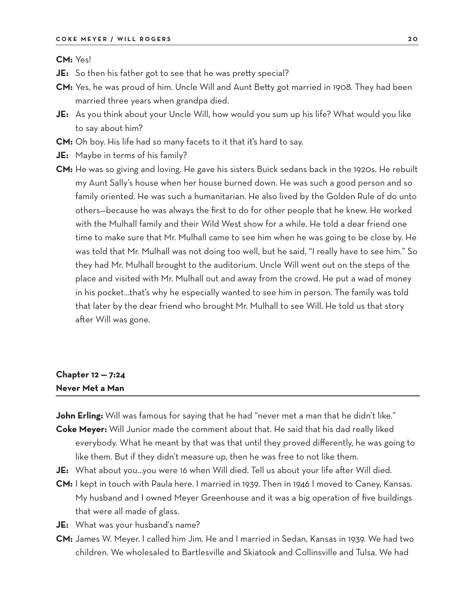#### **CM:** Yes!

- **JE:** So then his father got to see that he was pretty special?
- **CM:** Yes, he was proud of him. Uncle Will and Aunt Betty got married in 1908. They had been married three years when grandpa died.
- **JE:** As you think about your Uncle Will, how would you sum up his life? What would you like to say about him?
- **CM:** Oh boy. His life had so many facets to it that it's hard to say.
- **JE:** Maybe in terms of his family?
- **CM:** He was so giving and loving. He gave his sisters Buick sedans back in the 1920s. He rebuilt my Aunt Sally's house when her house burned down. He was such a good person and so family oriented. He was such a humanitarian. He also lived by the Golden Rule of do unto others—because he was always the first to do for other people that he knew. He worked with the Mulhall family and their Wild West show for a while. He told a dear friend one time to make sure that Mr. Mulhall came to see him when he was going to be close by. He was told that Mr. Mulhall was not doing too well, but he said, "I really have to see him." So they had Mr. Mulhall brought to the auditorium. Uncle Will went out on the steps of the place and visited with Mr. Mulhall out and away from the crowd. He put a wad of money in his pocket…that's why he especially wanted to see him in person. The family was told that later by the dear friend who brought Mr. Mulhall to see Will. He told us that story after Will was gone.

# **Chapter 12 — 7:24 Never Met a Man**

John Erling: Will was famous for saying that he had "never met a man that he didn't like."

- **Coke Meyer:** Will Junior made the comment about that. He said that his dad really liked everybody. What he meant by that was that until they proved differently, he was going to like them. But if they didn't measure up, then he was free to not like them.
- **JE:** What about you…you were 16 when Will died. Tell us about your life after Will died.
- **CM:** I kept in touch with Paula here. I married in 1939. Then in 1946 I moved to Caney, Kansas. My husband and I owned Meyer Greenhouse and it was a big operation of five buildings that were all made of glass.
- **JE:** What was your husband's name?
- **CM:** James W. Meyer. I called him Jim. He and I married in Sedan, Kansas in 1939. We had two children. We wholesaled to Bartlesville and Skiatook and Collinsville and Tulsa. We had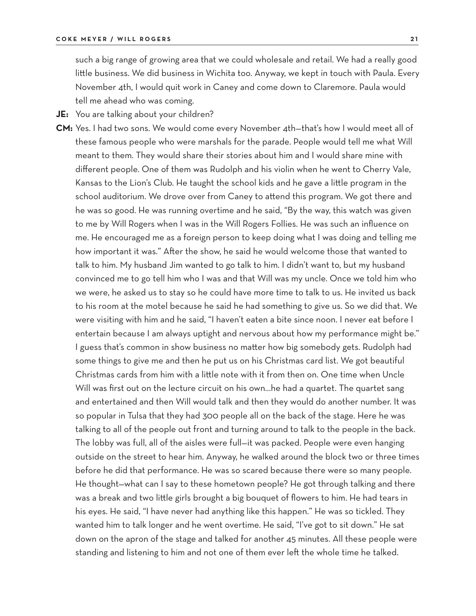such a big range of growing area that we could wholesale and retail. We had a really good little business. We did business in Wichita too. Anyway, we kept in touch with Paula. Every November 4th, I would quit work in Caney and come down to Claremore. Paula would tell me ahead who was coming.

- **JE:** You are talking about your children?
- **CM:** Yes. I had two sons. We would come every November 4th—that's how I would meet all of these famous people who were marshals for the parade. People would tell me what Will meant to them. They would share their stories about him and I would share mine with different people. One of them was Rudolph and his violin when he went to Cherry Vale, Kansas to the Lion's Club. He taught the school kids and he gave a little program in the school auditorium. We drove over from Caney to attend this program. We got there and he was so good. He was running overtime and he said, "By the way, this watch was given to me by Will Rogers when I was in the Will Rogers Follies. He was such an influence on me. He encouraged me as a foreign person to keep doing what I was doing and telling me how important it was." After the show, he said he would welcome those that wanted to talk to him. My husband Jim wanted to go talk to him. I didn't want to, but my husband convinced me to go tell him who I was and that Will was my uncle. Once we told him who we were, he asked us to stay so he could have more time to talk to us. He invited us back to his room at the motel because he said he had something to give us. So we did that. We were visiting with him and he said, "I haven't eaten a bite since noon. I never eat before I entertain because I am always uptight and nervous about how my performance might be." I guess that's common in show business no matter how big somebody gets. Rudolph had some things to give me and then he put us on his Christmas card list. We got beautiful Christmas cards from him with a little note with it from then on. One time when Uncle Will was first out on the lecture circuit on his own...he had a quartet. The quartet sang and entertained and then Will would talk and then they would do another number. It was so popular in Tulsa that they had 300 people all on the back of the stage. Here he was talking to all of the people out front and turning around to talk to the people in the back. The lobby was full, all of the aisles were full—it was packed. People were even hanging outside on the street to hear him. Anyway, he walked around the block two or three times before he did that performance. He was so scared because there were so many people. He thought—what can I say to these hometown people? He got through talking and there was a break and two little girls brought a big bouquet of flowers to him. He had tears in his eyes. He said, "I have never had anything like this happen." He was so tickled. They wanted him to talk longer and he went overtime. He said, "I've got to sit down." He sat down on the apron of the stage and talked for another 45 minutes. All these people were standing and listening to him and not one of them ever left the whole time he talked.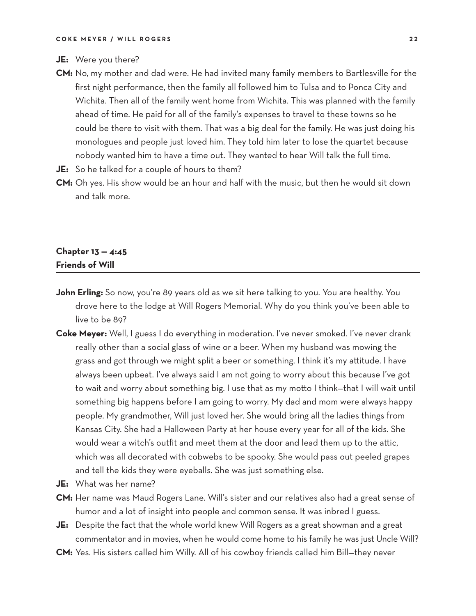- **JE:** Were you there?
- **CM:** No, my mother and dad were. He had invited many family members to Bartlesville for the first night performance, then the family all followed him to Tulsa and to Ponca City and Wichita. Then all of the family went home from Wichita. This was planned with the family ahead of time. He paid for all of the family's expenses to travel to these towns so he could be there to visit with them. That was a big deal for the family. He was just doing his monologues and people just loved him. They told him later to lose the quartet because nobody wanted him to have a time out. They wanted to hear Will talk the full time.
- **JE:** So he talked for a couple of hours to them?
- **CM:** Oh yes. His show would be an hour and half with the music, but then he would sit down and talk more.

#### **Chapter 13 — 4:45 Friends of Will**

- **John Erling:** So now, you're 89 years old as we sit here talking to you. You are healthy. You drove here to the lodge at Will Rogers Memorial. Why do you think you've been able to live to be 89?
- **Coke Meyer:** Well, I guess I do everything in moderation. I've never smoked. I've never drank really other than a social glass of wine or a beer. When my husband was mowing the grass and got through we might split a beer or something. I think it's my attitude. I have always been upbeat. I've always said I am not going to worry about this because I've got to wait and worry about something big. I use that as my motto I think—that I will wait until something big happens before I am going to worry. My dad and mom were always happy people. My grandmother, Will just loved her. She would bring all the ladies things from Kansas City. She had a Halloween Party at her house every year for all of the kids. She would wear a witch's outfit and meet them at the door and lead them up to the attic, which was all decorated with cobwebs to be spooky. She would pass out peeled grapes and tell the kids they were eyeballs. She was just something else.
- **JE:** What was her name?
- **CM:** Her name was Maud Rogers Lane. Will's sister and our relatives also had a great sense of humor and a lot of insight into people and common sense. It was inbred I guess.
- **JE:** Despite the fact that the whole world knew Will Rogers as a great showman and a great commentator and in movies, when he would come home to his family he was just Uncle Will?
- **CM:** Yes. His sisters called him Willy. All of his cowboy friends called him Bill—they never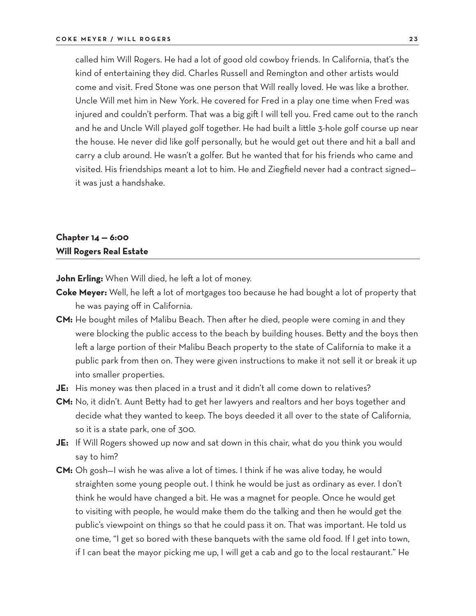called him Will Rogers. He had a lot of good old cowboy friends. In California, that's the kind of entertaining they did. Charles Russell and Remington and other artists would come and visit. Fred Stone was one person that Will really loved. He was like a brother. Uncle Will met him in New York. He covered for Fred in a play one time when Fred was injured and couldn't perform. That was a big gift I will tell you. Fred came out to the ranch and he and Uncle Will played golf together. He had built a little 3-hole golf course up near the house. He never did like golf personally, but he would get out there and hit a ball and carry a club around. He wasn't a golfer. But he wanted that for his friends who came and visited. His friendships meant a lot to him. He and Ziegfield never had a contract signed it was just a handshake.

# **Chapter 14 — 6:00 Will Rogers Real Estate**

**John Erling:** When Will died, he left a lot of money.

- **Coke Meyer:** Well, he left a lot of mortgages too because he had bought a lot of property that he was paying off in California.
- **CM:** He bought miles of Malibu Beach. Then after he died, people were coming in and they were blocking the public access to the beach by building houses. Betty and the boys then left a large portion of their Malibu Beach property to the state of California to make it a public park from then on. They were given instructions to make it not sell it or break it up into smaller properties.
- **JE:** His money was then placed in a trust and it didn't all come down to relatives?
- **CM:** No, it didn't. Aunt Betty had to get her lawyers and realtors and her boys together and decide what they wanted to keep. The boys deeded it all over to the state of California, so it is a state park, one of 300.
- **JE:** If Will Rogers showed up now and sat down in this chair, what do you think you would say to him?
- **CM:** Oh gosh—I wish he was alive a lot of times. I think if he was alive today, he would straighten some young people out. I think he would be just as ordinary as ever. I don't think he would have changed a bit. He was a magnet for people. Once he would get to visiting with people, he would make them do the talking and then he would get the public's viewpoint on things so that he could pass it on. That was important. He told us one time, "I get so bored with these banquets with the same old food. If I get into town, if I can beat the mayor picking me up, I will get a cab and go to the local restaurant." He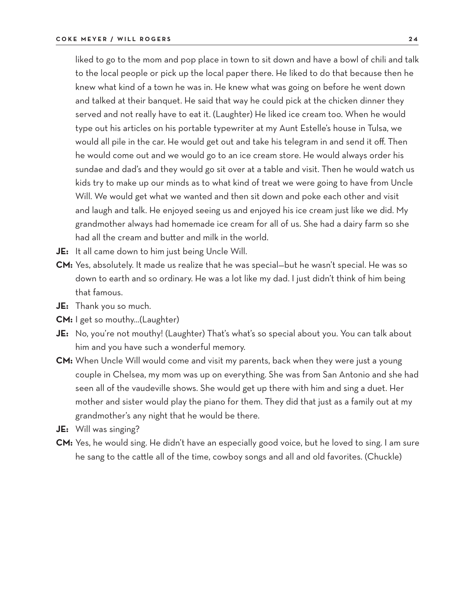liked to go to the mom and pop place in town to sit down and have a bowl of chili and talk to the local people or pick up the local paper there. He liked to do that because then he knew what kind of a town he was in. He knew what was going on before he went down and talked at their banquet. He said that way he could pick at the chicken dinner they served and not really have to eat it. (Laughter) He liked ice cream too. When he would type out his articles on his portable typewriter at my Aunt Estelle's house in Tulsa, we would all pile in the car. He would get out and take his telegram in and send it off. Then he would come out and we would go to an ice cream store. He would always order his sundae and dad's and they would go sit over at a table and visit. Then he would watch us kids try to make up our minds as to what kind of treat we were going to have from Uncle Will. We would get what we wanted and then sit down and poke each other and visit and laugh and talk. He enjoyed seeing us and enjoyed his ice cream just like we did. My grandmother always had homemade ice cream for all of us. She had a dairy farm so she had all the cream and butter and milk in the world.

- **JE:** It all came down to him just being Uncle Will.
- **CM:** Yes, absolutely. It made us realize that he was special—but he wasn't special. He was so down to earth and so ordinary. He was a lot like my dad. I just didn't think of him being that famous.
- **JE:** Thank you so much.
- **CM:** I get so mouthy…(Laughter)
- **JE:** No, you're not mouthy! (Laughter) That's what's so special about you. You can talk about him and you have such a wonderful memory.
- **CM:** When Uncle Will would come and visit my parents, back when they were just a young couple in Chelsea, my mom was up on everything. She was from San Antonio and she had seen all of the vaudeville shows. She would get up there with him and sing a duet. Her mother and sister would play the piano for them. They did that just as a family out at my grandmother's any night that he would be there.
- **JE:** Will was singing?
- **CM:** Yes, he would sing. He didn't have an especially good voice, but he loved to sing. I am sure he sang to the cattle all of the time, cowboy songs and all and old favorites. (Chuckle)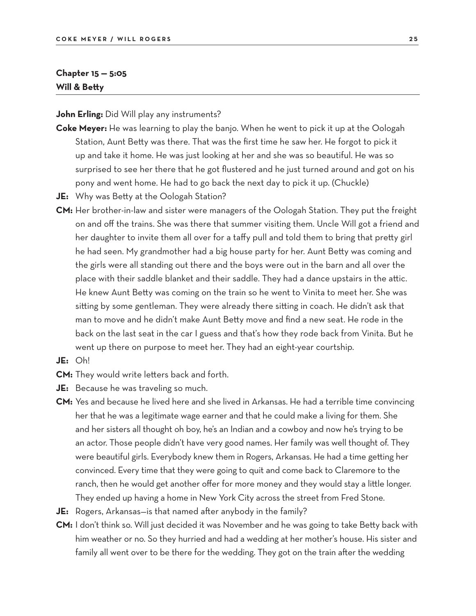#### **Chapter 15 — 5:05 Will & Betty**

**John Erling:** Did Will play any instruments?

- **Coke Meyer:** He was learning to play the banjo. When he went to pick it up at the Oologah Station, Aunt Betty was there. That was the first time he saw her. He forgot to pick it up and take it home. He was just looking at her and she was so beautiful. He was so surprised to see her there that he got flustered and he just turned around and got on his pony and went home. He had to go back the next day to pick it up. (Chuckle)
- **JE:** Why was Betty at the Oologah Station?
- **CM:** Her brother-in-law and sister were managers of the Oologah Station. They put the freight on and off the trains. She was there that summer visiting them. Uncle Will got a friend and her daughter to invite them all over for a taffy pull and told them to bring that pretty girl he had seen. My grandmother had a big house party for her. Aunt Betty was coming and the girls were all standing out there and the boys were out in the barn and all over the place with their saddle blanket and their saddle. They had a dance upstairs in the attic. He knew Aunt Betty was coming on the train so he went to Vinita to meet her. She was sitting by some gentleman. They were already there sitting in coach. He didn't ask that man to move and he didn't make Aunt Betty move and find a new seat. He rode in the back on the last seat in the car I guess and that's how they rode back from Vinita. But he went up there on purpose to meet her. They had an eight-year courtship.
- **JE:** Oh!

**CM:** They would write letters back and forth.

**JE:** Because he was traveling so much.

- **CM:** Yes and because he lived here and she lived in Arkansas. He had a terrible time convincing her that he was a legitimate wage earner and that he could make a living for them. She and her sisters all thought oh boy, he's an Indian and a cowboy and now he's trying to be an actor. Those people didn't have very good names. Her family was well thought of. They were beautiful girls. Everybody knew them in Rogers, Arkansas. He had a time getting her convinced. Every time that they were going to quit and come back to Claremore to the ranch, then he would get another offer for more money and they would stay a little longer. They ended up having a home in New York City across the street from Fred Stone.
- **JE:** Rogers, Arkansas—is that named after anybody in the family?
- **CM:** I don't think so. Will just decided it was November and he was going to take Betty back with him weather or no. So they hurried and had a wedding at her mother's house. His sister and family all went over to be there for the wedding. They got on the train after the wedding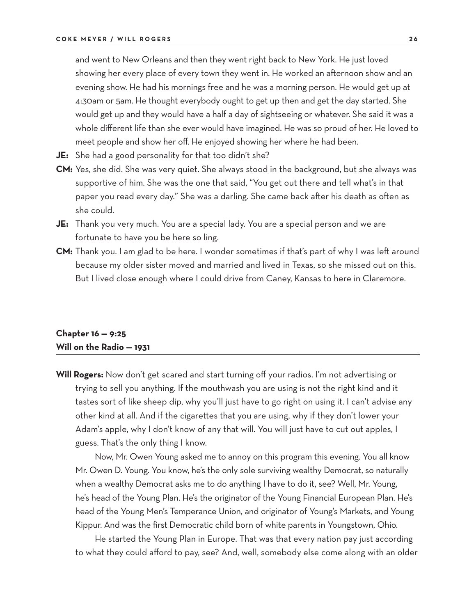and went to New Orleans and then they went right back to New York. He just loved showing her every place of every town they went in. He worked an afternoon show and an evening show. He had his mornings free and he was a morning person. He would get up at 4:30am or 5am. He thought everybody ought to get up then and get the day started. She would get up and they would have a half a day of sightseeing or whatever. She said it was a whole different life than she ever would have imagined. He was so proud of her. He loved to meet people and show her off. He enjoyed showing her where he had been.

- **JE:** She had a good personality for that too didn't she?
- **CM:** Yes, she did. She was very quiet. She always stood in the background, but she always was supportive of him. She was the one that said, "You get out there and tell what's in that paper you read every day." She was a darling. She came back after his death as often as she could.
- **JE:** Thank you very much. You are a special lady. You are a special person and we are fortunate to have you be here so ling.
- **CM:** Thank you. I am glad to be here. I wonder sometimes if that's part of why I was left around because my older sister moved and married and lived in Texas, so she missed out on this. But I lived close enough where I could drive from Caney, Kansas to here in Claremore.

## **Chapter 16 — 9:25 Will on the Radio — 1931**

**Will Rogers:** Now don't get scared and start turning off your radios. I'm not advertising or trying to sell you anything. If the mouthwash you are using is not the right kind and it tastes sort of like sheep dip, why you'll just have to go right on using it. I can't advise any other kind at all. And if the cigarettes that you are using, why if they don't lower your Adam's apple, why I don't know of any that will. You will just have to cut out apples, I guess. That's the only thing I know.

Now, Mr. Owen Young asked me to annoy on this program this evening. You all know Mr. Owen D. Young. You know, he's the only sole surviving wealthy Democrat, so naturally when a wealthy Democrat asks me to do anything I have to do it, see? Well, Mr. Young, he's head of the Young Plan. He's the originator of the Young Financial European Plan. He's head of the Young Men's Temperance Union, and originator of Young's Markets, and Young Kippur. And was the first Democratic child born of white parents in Youngstown, Ohio.

He started the Young Plan in Europe. That was that every nation pay just according to what they could afford to pay, see? And, well, somebody else come along with an older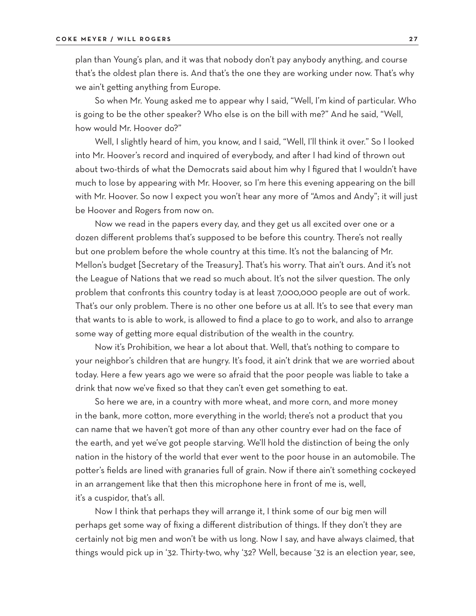plan than Young's plan, and it was that nobody don't pay anybody anything, and course that's the oldest plan there is. And that's the one they are working under now. That's why we ain't getting anything from Europe.

So when Mr. Young asked me to appear why I said, "Well, I'm kind of particular. Who is going to be the other speaker? Who else is on the bill with me?" And he said, "Well, how would Mr. Hoover do?"

Well, I slightly heard of him, you know, and I said, "Well, I'll think it over." So I looked into Mr. Hoover's record and inquired of everybody, and after I had kind of thrown out about two-thirds of what the Democrats said about him why I figured that I wouldn't have much to lose by appearing with Mr. Hoover, so I'm here this evening appearing on the bill with Mr. Hoover. So now I expect you won't hear any more of "Amos and Andy"; it will just be Hoover and Rogers from now on.

Now we read in the papers every day, and they get us all excited over one or a dozen different problems that's supposed to be before this country. There's not really but one problem before the whole country at this time. It's not the balancing of Mr. Mellon's budget [Secretary of the Treasury]. That's his worry. That ain't ours. And it's not the League of Nations that we read so much about. It's not the silver question. The only problem that confronts this country today is at least 7,000,000 people are out of work. That's our only problem. There is no other one before us at all. It's to see that every man that wants to is able to work, is allowed to find a place to go to work, and also to arrange some way of getting more equal distribution of the wealth in the country.

Now it's Prohibition, we hear a lot about that. Well, that's nothing to compare to your neighbor's children that are hungry. It's food, it ain't drink that we are worried about today. Here a few years ago we were so afraid that the poor people was liable to take a drink that now we've fixed so that they can't even get something to eat.

So here we are, in a country with more wheat, and more corn, and more money in the bank, more cotton, more everything in the world; there's not a product that you can name that we haven't got more of than any other country ever had on the face of the earth, and yet we've got people starving. We'll hold the distinction of being the only nation in the history of the world that ever went to the poor house in an automobile. The potter's fields are lined with granaries full of grain. Now if there ain't something cockeyed in an arrangement like that then this microphone here in front of me is, well, it's a cuspidor, that's all.

Now I think that perhaps they will arrange it, I think some of our big men will perhaps get some way of fixing a different distribution of things. If they don't they are certainly not big men and won't be with us long. Now I say, and have always claimed, that things would pick up in '32. Thirty-two, why '32? Well, because '32 is an election year, see,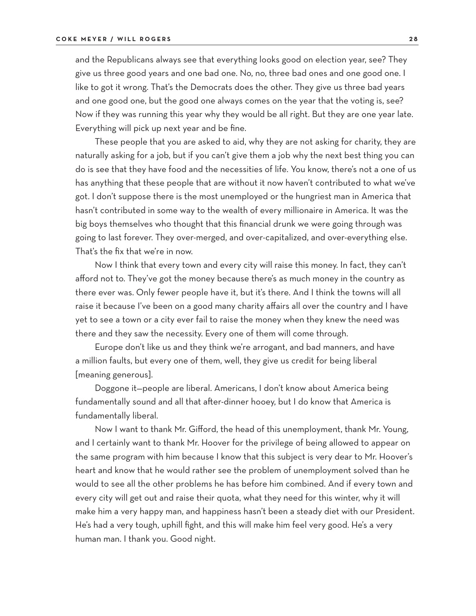and the Republicans always see that everything looks good on election year, see? They give us three good years and one bad one. No, no, three bad ones and one good one. I like to got it wrong. That's the Democrats does the other. They give us three bad years and one good one, but the good one always comes on the year that the voting is, see? Now if they was running this year why they would be all right. But they are one year late. Everything will pick up next year and be fine.

These people that you are asked to aid, why they are not asking for charity, they are naturally asking for a job, but if you can't give them a job why the next best thing you can do is see that they have food and the necessities of life. You know, there's not a one of us has anything that these people that are without it now haven't contributed to what we've got. I don't suppose there is the most unemployed or the hungriest man in America that hasn't contributed in some way to the wealth of every millionaire in America. It was the big boys themselves who thought that this financial drunk we were going through was going to last forever. They over-merged, and over-capitalized, and over-everything else. That's the fix that we're in now.

Now I think that every town and every city will raise this money. In fact, they can't afford not to. They've got the money because there's as much money in the country as there ever was. Only fewer people have it, but it's there. And I think the towns will all raise it because I've been on a good many charity affairs all over the country and I have yet to see a town or a city ever fail to raise the money when they knew the need was there and they saw the necessity. Every one of them will come through.

Europe don't like us and they think we're arrogant, and bad manners, and have a million faults, but every one of them, well, they give us credit for being liberal [meaning generous].

Doggone it—people are liberal. Americans, I don't know about America being fundamentally sound and all that after-dinner hooey, but I do know that America is fundamentally liberal.

Now I want to thank Mr. Gifford, the head of this unemployment, thank Mr. Young, and I certainly want to thank Mr. Hoover for the privilege of being allowed to appear on the same program with him because I know that this subject is very dear to Mr. Hoover's heart and know that he would rather see the problem of unemployment solved than he would to see all the other problems he has before him combined. And if every town and every city will get out and raise their quota, what they need for this winter, why it will make him a very happy man, and happiness hasn't been a steady diet with our President. He's had a very tough, uphill fight, and this will make him feel very good. He's a very human man. I thank you. Good night.